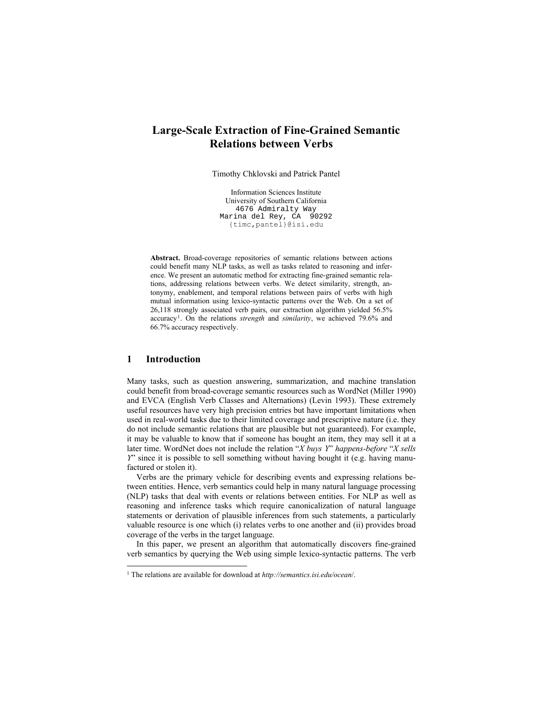# **Large-Scale Extraction of Fine-Grained Semantic Relations between Verbs**

Timothy Chklovski and Patrick Pantel

Information Sciences Institute University of Southern California 4676 Admiralty Way Marina del Rey, CA 90292 {timc,pantel}@isi.edu

**Abstract.** Broad-coverage repositories of semantic relations between actions could benefit many NLP tasks, as well as tasks related to reasoning and inference. We present an automatic method for extracting fine-grained semantic relations, addressing relations between verbs. We detect similarity, strength, antonymy, enablement, and temporal relations between pairs of verbs with high mutual information using lexico-syntactic patterns over the Web. On a set of 26,118 strongly associated verb pairs, our extraction algorithm yielded 56.5% accuracy1. On the relations *strength* and *similarity*, we achieved 79.6% and 66.7% accuracy respectively.

## **1 Introduction**

 $\overline{a}$ 

Many tasks, such as question answering, summarization, and machine translation could benefit from broad-coverage semantic resources such as WordNet (Miller 1990) and EVCA (English Verb Classes and Alternations) (Levin 1993). These extremely useful resources have very high precision entries but have important limitations when used in real-world tasks due to their limited coverage and prescriptive nature (i.e. they do not include semantic relations that are plausible but not guaranteed). For example, it may be valuable to know that if someone has bought an item, they may sell it at a later time. WordNet does not include the relation "*X buys Y*" *happens-before* "*X sells Y*<sup> $\degree$ </sup> since it is possible to sell something without having bought it (e.g. having manufactured or stolen it).

Verbs are the primary vehicle for describing events and expressing relations between entities. Hence, verb semantics could help in many natural language processing (NLP) tasks that deal with events or relations between entities. For NLP as well as reasoning and inference tasks which require canonicalization of natural language statements or derivation of plausible inferences from such statements, a particularly valuable resource is one which (i) relates verbs to one another and (ii) provides broad coverage of the verbs in the target language.

In this paper, we present an algorithm that automatically discovers fine-grained verb semantics by querying the Web using simple lexico-syntactic patterns. The verb

<sup>1</sup> The relations are available for download at *http://semantics.isi.edu/ocean*/.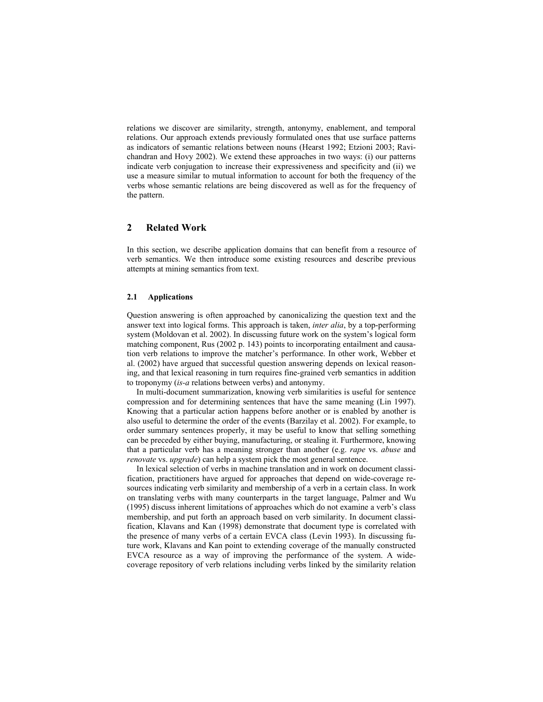relations we discover are similarity, strength, antonymy, enablement, and temporal relations. Our approach extends previously formulated ones that use surface patterns as indicators of semantic relations between nouns (Hearst 1992; Etzioni 2003; Ravichandran and Hovy 2002). We extend these approaches in two ways: (i) our patterns indicate verb conjugation to increase their expressiveness and specificity and (ii) we use a measure similar to mutual information to account for both the frequency of the verbs whose semantic relations are being discovered as well as for the frequency of the pattern.

## **2 Related Work**

In this section, we describe application domains that can benefit from a resource of verb semantics. We then introduce some existing resources and describe previous attempts at mining semantics from text.

#### **2.1 Applications**

Question answering is often approached by canonicalizing the question text and the answer text into logical forms. This approach is taken, *inter alia*, by a top-performing system (Moldovan et al. 2002). In discussing future work on the system's logical form matching component, Rus (2002 p. 143) points to incorporating entailment and causation verb relations to improve the matcher's performance. In other work, Webber et al. (2002) have argued that successful question answering depends on lexical reasoning, and that lexical reasoning in turn requires fine-grained verb semantics in addition to troponymy (*is-a* relations between verbs) and antonymy.

In multi-document summarization, knowing verb similarities is useful for sentence compression and for determining sentences that have the same meaning (Lin 1997). Knowing that a particular action happens before another or is enabled by another is also useful to determine the order of the events (Barzilay et al. 2002). For example, to order summary sentences properly, it may be useful to know that selling something can be preceded by either buying, manufacturing, or stealing it. Furthermore, knowing that a particular verb has a meaning stronger than another (e.g. *rape* vs. *abuse* and *renovate* vs. *upgrade*) can help a system pick the most general sentence.

In lexical selection of verbs in machine translation and in work on document classification, practitioners have argued for approaches that depend on wide-coverage resources indicating verb similarity and membership of a verb in a certain class. In work on translating verbs with many counterparts in the target language, Palmer and Wu (1995) discuss inherent limitations of approaches which do not examine a verbís class membership, and put forth an approach based on verb similarity. In document classification, Klavans and Kan (1998) demonstrate that document type is correlated with the presence of many verbs of a certain EVCA class (Levin 1993). In discussing future work, Klavans and Kan point to extending coverage of the manually constructed EVCA resource as a way of improving the performance of the system. A widecoverage repository of verb relations including verbs linked by the similarity relation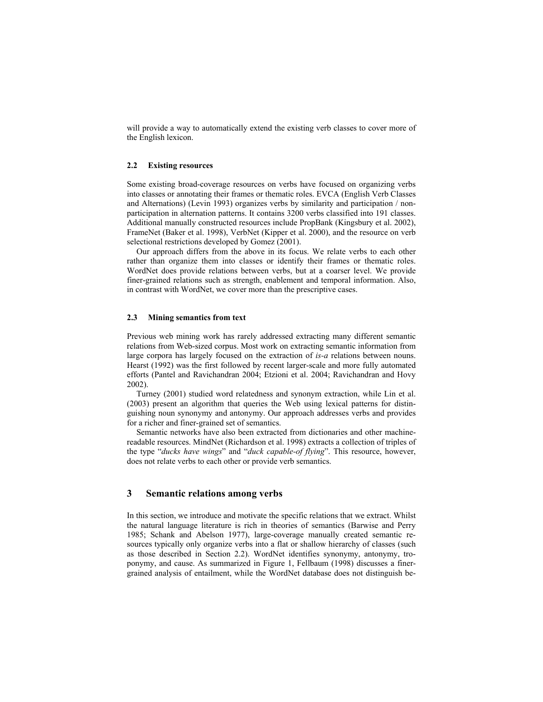will provide a way to automatically extend the existing verb classes to cover more of the English lexicon.

#### **2.2 Existing resources**

Some existing broad-coverage resources on verbs have focused on organizing verbs into classes or annotating their frames or thematic roles. EVCA (English Verb Classes and Alternations) (Levin 1993) organizes verbs by similarity and participation / nonparticipation in alternation patterns. It contains 3200 verbs classified into 191 classes. Additional manually constructed resources include PropBank (Kingsbury et al. 2002), FrameNet (Baker et al. 1998), VerbNet (Kipper et al. 2000), and the resource on verb selectional restrictions developed by Gomez (2001).

Our approach differs from the above in its focus. We relate verbs to each other rather than organize them into classes or identify their frames or thematic roles. WordNet does provide relations between verbs, but at a coarser level. We provide finer-grained relations such as strength, enablement and temporal information. Also, in contrast with WordNet, we cover more than the prescriptive cases.

#### **2.3 Mining semantics from text**

Previous web mining work has rarely addressed extracting many different semantic relations from Web-sized corpus. Most work on extracting semantic information from large corpora has largely focused on the extraction of *is-a* relations between nouns. Hearst (1992) was the first followed by recent larger-scale and more fully automated efforts (Pantel and Ravichandran 2004; Etzioni et al. 2004; Ravichandran and Hovy 2002).

Turney (2001) studied word relatedness and synonym extraction, while Lin et al. (2003) present an algorithm that queries the Web using lexical patterns for distinguishing noun synonymy and antonymy. Our approach addresses verbs and provides for a richer and finer-grained set of semantics.

Semantic networks have also been extracted from dictionaries and other machinereadable resources. MindNet (Richardson et al. 1998) extracts a collection of triples of the type "*ducks have wings*" and "*duck capable-of flying*". This resource, however, does not relate verbs to each other or provide verb semantics.

## **3 Semantic relations among verbs**

In this section, we introduce and motivate the specific relations that we extract. Whilst the natural language literature is rich in theories of semantics (Barwise and Perry 1985; Schank and Abelson 1977), large-coverage manually created semantic resources typically only organize verbs into a flat or shallow hierarchy of classes (such as those described in Section 2.2). WordNet identifies synonymy, antonymy, troponymy, and cause. As summarized in Figure 1, Fellbaum (1998) discusses a finergrained analysis of entailment, while the WordNet database does not distinguish be-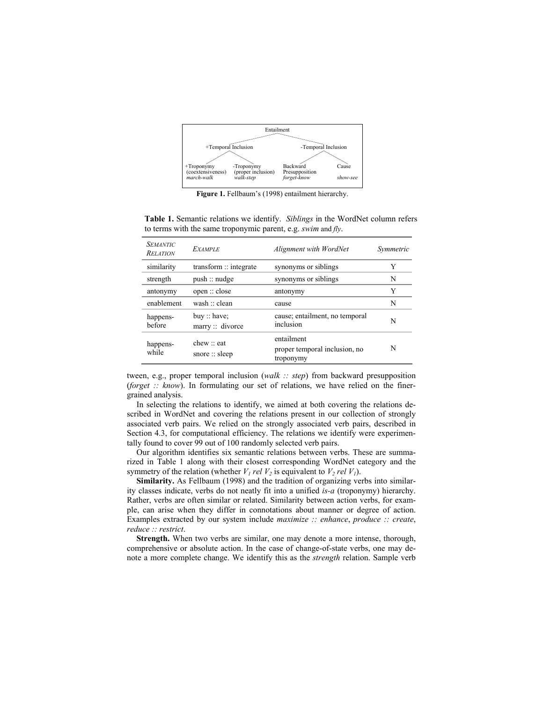

Figure 1. Fellbaum's (1998) entailment hierarchy.

**Table 1.** Semantic relations we identify. *Siblings* in the WordNet column refers to terms with the same troponymic parent, e.g. *swim* and *fly*.

| <b>SEMANTIC</b><br><b>RELATION</b> | <b>EXAMPLE</b>                                    | Alignment with WordNet                                   | Symmetric |
|------------------------------------|---------------------------------------------------|----------------------------------------------------------|-----------|
| similarity                         | transform $\therefore$ integrate                  | synonyms or siblings                                     | Y         |
| strength                           | push::nudge                                       | synonyms or siblings                                     | N         |
| antonymy                           | open::close                                       | antonymy                                                 | Y         |
| enablement                         | wash $\therefore$ clean                           | cause                                                    | N         |
| happens-<br>before                 | buy :: have;<br>$marrow::$ divorce                | cause; entailment, no temporal<br>inclusion              | N         |
| happens-<br>while                  | chew $\therefore$ eat<br>snore $\therefore$ sleep | entailment<br>proper temporal inclusion, no<br>troponymy | N         |

tween, e.g., proper temporal inclusion (*walk :: step*) from backward presupposition (*forget :: know*). In formulating our set of relations, we have relied on the finergrained analysis.

In selecting the relations to identify, we aimed at both covering the relations described in WordNet and covering the relations present in our collection of strongly associated verb pairs. We relied on the strongly associated verb pairs, described in Section 4.3, for computational efficiency. The relations we identify were experimentally found to cover 99 out of 100 randomly selected verb pairs.

Our algorithm identifies six semantic relations between verbs. These are summarized in Table 1 along with their closest corresponding WordNet category and the symmetry of the relation (whether  $V_1$  *rel*  $V_2$  is equivalent to  $V_2$  *rel*  $V_1$ ).

**Similarity.** As Fellbaum (1998) and the tradition of organizing verbs into similarity classes indicate, verbs do not neatly fit into a unified *is-a* (troponymy) hierarchy. Rather, verbs are often similar or related. Similarity between action verbs, for example, can arise when they differ in connotations about manner or degree of action. Examples extracted by our system include *maximize :: enhance*, *produce :: create*, *reduce :: restrict*.

**Strength.** When two verbs are similar, one may denote a more intense, thorough, comprehensive or absolute action. In the case of change-of-state verbs, one may denote a more complete change. We identify this as the *strength* relation. Sample verb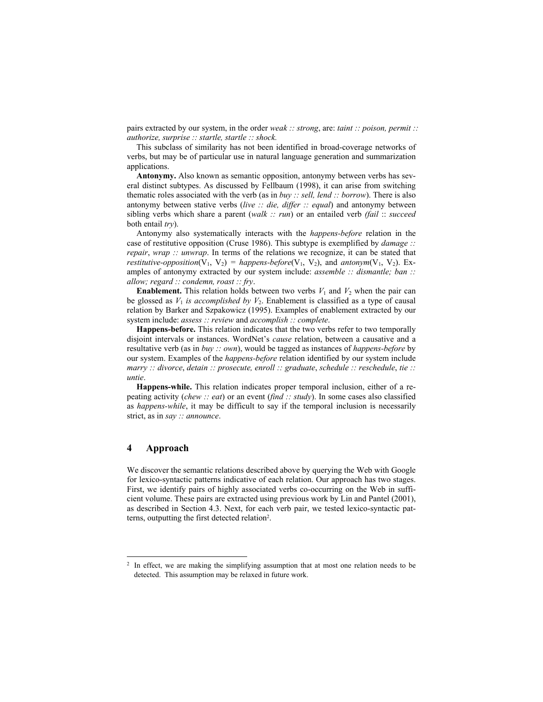pairs extracted by our system, in the order *weak :: strong*, are: *taint :: poison, permit :: authorize, surprise :: startle, startle :: shock.* 

This subclass of similarity has not been identified in broad-coverage networks of verbs, but may be of particular use in natural language generation and summarization applications.

**Antonymy.** Also known as semantic opposition, antonymy between verbs has several distinct subtypes. As discussed by Fellbaum (1998), it can arise from switching thematic roles associated with the verb (as in *buy :: sell, lend :: borrow*). There is also antonymy between stative verbs (*live :: die, differ :: equal*) and antonymy between sibling verbs which share a parent (*walk :: run*) or an entailed verb *(fail* :: *succeed* both entail *try*).

Antonymy also systematically interacts with the *happens-before* relation in the case of restitutive opposition (Cruse 1986). This subtype is exemplified by *damage :: repair*, *wrap :: unwrap*. In terms of the relations we recognize, it can be stated that *restitutive-opposition*( $V_1$ ,  $V_2$ ) = *happens-before*( $V_1$ ,  $V_2$ ), and *antonym*( $V_1$ ,  $V_2$ ). Examples of antonymy extracted by our system include: *assemble :: dismantle; ban :: allow; regard :: condemn, roast :: fry*.

**Enablement.** This relation holds between two verbs  $V_1$  and  $V_2$  when the pair can be glossed as  $V_1$  *is accomplished by*  $V_2$ . Enablement is classified as a type of causal relation by Barker and Szpakowicz (1995). Examples of enablement extracted by our system include: *assess :: review* and *accomplish :: complete*.

**Happens-before.** This relation indicates that the two verbs refer to two temporally disjoint intervals or instances. WordNet's *cause* relation, between a causative and a resultative verb (as in *buy :: own*), would be tagged as instances of *happens-before* by our system. Examples of the *happens-before* relation identified by our system include *marry :: divorce*, *detain :: prosecute, enroll :: graduate*, *schedule :: reschedule*, *tie :: untie*.

**Happens-while.** This relation indicates proper temporal inclusion, either of a repeating activity (*chew :: eat*) or an event (*find :: study*). In some cases also classified as *happens-while*, it may be difficult to say if the temporal inclusion is necessarily strict, as in *say :: announce*.

## **4 Approach**

l

We discover the semantic relations described above by querying the Web with Google for lexico-syntactic patterns indicative of each relation. Our approach has two stages. First, we identify pairs of highly associated verbs co-occurring on the Web in sufficient volume. These pairs are extracted using previous work by Lin and Pantel (2001), as described in Section 4.3. Next, for each verb pair, we tested lexico-syntactic patterns, outputting the first detected relation2 .

<sup>&</sup>lt;sup>2</sup> In effect, we are making the simplifying assumption that at most one relation needs to be detected. This assumption may be relaxed in future work.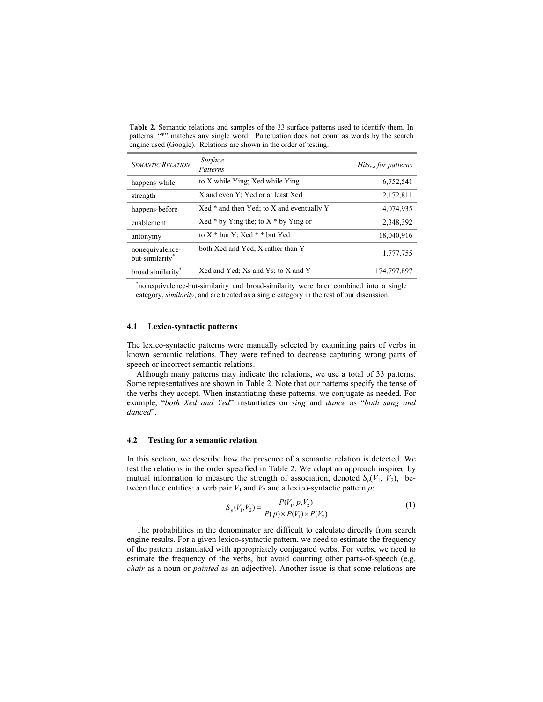**Table 2.** Semantic relations and samples of the 33 surface patterns used to identify them. In patterns, "\*" matches any single word. Punctuation does not count as words by the search engine used (Google). Relations are shown in the order of testing.

| <b>SEMANTIC RELATION</b>           | Surface<br>Patterns                         | $Hits_{est}$ for patterns |
|------------------------------------|---------------------------------------------|---------------------------|
| happens-while                      | to X while Ying; Xed while Ying             | 6,752,541                 |
| strength                           | X and even Y; Yed or at least Xed           | 2,172,811                 |
| happens-before                     | $Xed *$ and then Yed; to X and eventually Y | 4,074,935                 |
| enablement                         | Xed $*$ by Ying the; to X $*$ by Ying or    | 2,348,392                 |
| antonymy                           | to $X^*$ but $Y$ ; $Xed^*$ * but Yed        | 18,040,916                |
| nonequivalence-<br>but-similarity* | both Xed and Yed; X rather than Y           | 1,777,755                 |
| broad similarity                   | Xed and Yed; Xs and Ys; to X and Y          | 174,797,897               |

\* nonequivalence-but-similarity and broad-similarity were later combined into a single category, *similarity*, and are treated as a single category in the rest of our discussion.

### **4.1 Lexico-syntactic patterns**

The lexico-syntactic patterns were manually selected by examining pairs of verbs in known semantic relations. They were refined to decrease capturing wrong parts of speech or incorrect semantic relations.

Although many patterns may indicate the relations, we use a total of 33 patterns. Some representatives are shown in Table 2. Note that our patterns specify the tense of the verbs they accept. When instantiating these patterns, we conjugate as needed. For example, "both Xed and Yed" instantiates on *sing* and *dance* as "both sung and *danced*î.

#### **4.2 Testing for a semantic relation**

In this section, we describe how the presence of a semantic relation is detected. We test the relations in the order specified in Table 2. We adopt an approach inspired by mutual information to measure the strength of association, denoted  $S_p(V_1, V_2)$ , between three entities: a verb pair  $V_1$  and  $V_2$  and a lexico-syntactic pattern  $p$ :

$$
S_p(V_1, V_2) = \frac{P(V_1, p, V_2)}{P(p) \times P(V_1) \times P(V_2)}\tag{1}
$$

The probabilities in the denominator are difficult to calculate directly from search engine results. For a given lexico-syntactic pattern, we need to estimate the frequency of the pattern instantiated with appropriately conjugated verbs. For verbs, we need to estimate the frequency of the verbs, but avoid counting other parts-of-speech (e.g. *chair* as a noun or *painted* as an adjective). Another issue is that some relations are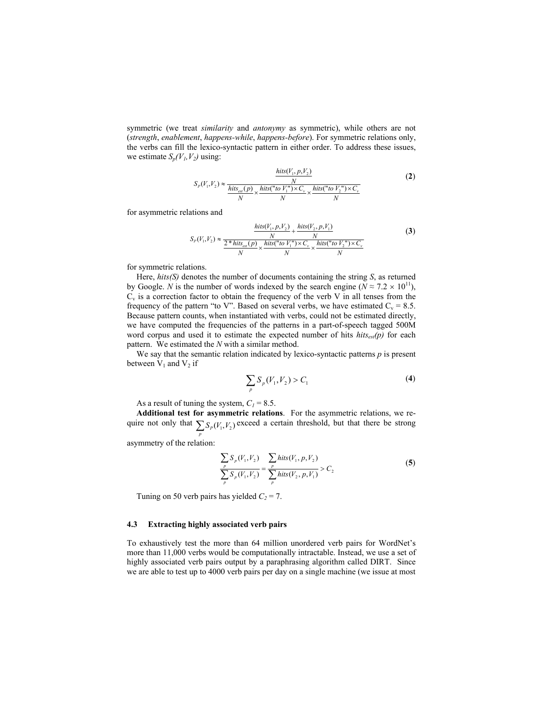symmetric (we treat *similarity* and *antonymy* as symmetric), while others are not (*strength*, *enablement*, *happens-while*, *happens-before*). For symmetric relations only, the verbs can fill the lexico-syntactic pattern in either order. To address these issues, we estimate  $S_p(V_1, V_2)$  using:

$$
S_P(V_1, V_2) \approx \frac{\frac{hits(V_1, p, V_2)}{N}}{\frac{hits_{est}(p)}{N} \times \frac{hits("to V_1'') \times C_v}{N} \times \frac{hits("to V_2'') \times C_v}{N}}
$$
(2)

for asymmetric relations and

$$
S_P(V_1, V_2) \approx \frac{\frac{hits(V_1, p, V_2)}{N} + \frac{hits(V_2, p, V_1)}{N}}{\frac{2 * hits(p)}{N} \times \frac{hits("to V_1'') \times C_v}{N} \times \frac{hits("to V_2'') \times C_v}{N}}
$$
(3)

for symmetric relations.

Here, *hits(S)* denotes the number of documents containing the string *S*, as returned by Google. *N* is the number of words indexed by the search engine ( $N \approx 7.2 \times 10^{11}$ ),  $C_v$  is a correction factor to obtain the frequency of the verb V in all tenses from the frequency of the pattern "to V". Based on several verbs, we have estimated  $C_v = 8.5$ . Because pattern counts, when instantiated with verbs, could not be estimated directly, we have computed the frequencies of the patterns in a part-of-speech tagged 500M word corpus and used it to estimate the expected number of hits *hits<sub>est</sub>(p)* for each pattern. We estimated the *N* with a similar method.

We say that the semantic relation indicated by lexico-syntactic patterns *p* is present between  $V_1$  and  $V_2$  if

$$
\sum_{p} S_{p}(V_{1}, V_{2}) > C_{1}
$$
 (4)

As a result of tuning the system,  $C_1 = 8.5$ .

**Additional test for asymmetric relations**. For the asymmetric relations, we require not only that  $\sum_{p} S_p(V_1, V_2)$  exceed a certain threshold, but that there be strong

asymmetry of the relation:

$$
\frac{\sum_{p} S_{p}(V_{1}, V_{2})}{\sum_{p} S_{p}(V_{1}, V_{2})} = \frac{\sum_{p} hits(V_{1}, p, V_{2})}{\sum_{p} hits(V_{2}, p, V_{1})} > C_{2}
$$
\n(5)

Tuning on 50 verb pairs has yielded  $C_2 = 7$ .

## **4.3 Extracting highly associated verb pairs**

To exhaustively test the more than 64 million unordered verb pairs for WordNetís more than 11,000 verbs would be computationally intractable. Instead, we use a set of highly associated verb pairs output by a paraphrasing algorithm called DIRT. Since we are able to test up to 4000 verb pairs per day on a single machine (we issue at most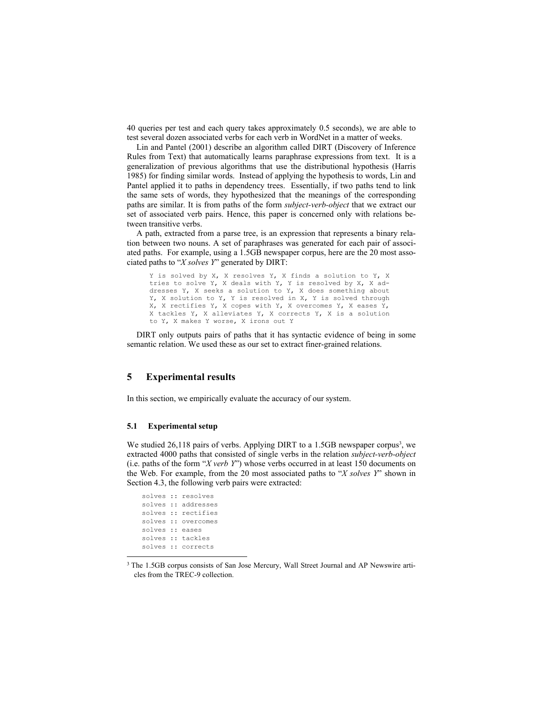40 queries per test and each query takes approximately 0.5 seconds), we are able to test several dozen associated verbs for each verb in WordNet in a matter of weeks.

Lin and Pantel (2001) describe an algorithm called DIRT (Discovery of Inference Rules from Text) that automatically learns paraphrase expressions from text. It is a generalization of previous algorithms that use the distributional hypothesis (Harris 1985) for finding similar words. Instead of applying the hypothesis to words, Lin and Pantel applied it to paths in dependency trees. Essentially, if two paths tend to link the same sets of words, they hypothesized that the meanings of the corresponding paths are similar. It is from paths of the form *subject-verb-object* that we extract our set of associated verb pairs. Hence, this paper is concerned only with relations between transitive verbs.

A path, extracted from a parse tree, is an expression that represents a binary relation between two nouns. A set of paraphrases was generated for each pair of associated paths. For example, using a 1.5GB newspaper corpus, here are the 20 most associated paths to "*X solves Y*" generated by DIRT:

Y is solved by X, X resolves Y, X finds a solution to Y, X tries to solve Y, X deals with Y, Y is resolved by X, X addresses Y, X seeks a solution to Y, X does something about Y, X solution to Y, Y is resolved in X, Y is solved through X, X rectifies Y, X copes with Y, X overcomes Y, X eases Y, X tackles Y, X alleviates Y, X corrects Y, X is a solution to Y, X makes Y worse, X irons out Y

DIRT only outputs pairs of paths that it has syntactic evidence of being in some semantic relation. We used these as our set to extract finer-grained relations.

## **5 Experimental results**

In this section, we empirically evaluate the accuracy of our system.

#### **5.1 Experimental setup**

We studied 26,118 pairs of verbs. Applying DIRT to a 1.5GB newspaper corpus<sup>3</sup>, we extracted 4000 paths that consisted of single verbs in the relation *subject-verb-object* (i.e. paths of the form  $X$  *verb Y*<sup>n</sup>) whose verbs occurred in at least 150 documents on the Web. For example, from the 20 most associated paths to *'X solves Y*' shown in Section 4.3, the following verb pairs were extracted:

```
solves :: resolves 
solves :: addresses 
solves :: rectifies 
solves :: overcomes 
solves :: eases 
solves :: tackles 
solves :: corrects
```
l

<sup>&</sup>lt;sup>3</sup> The 1.5GB corpus consists of San Jose Mercury, Wall Street Journal and AP Newswire articles from the TREC-9 collection.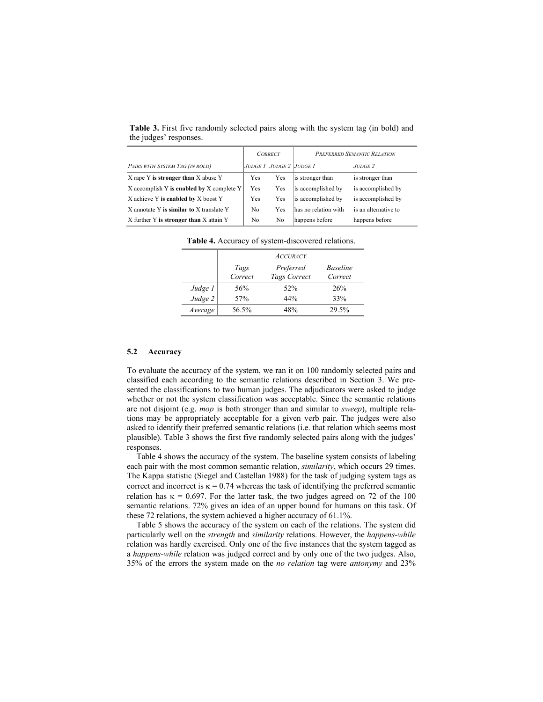|                                           | <b>CORRECT</b> |                         | PREFERRED SEMANTIC RELATION |                      |
|-------------------------------------------|----------------|-------------------------|-----------------------------|----------------------|
| PAIRS WITH SYSTEM TAG (IN BOLD)           |                | JUDGE 1 JUDGE 2 JUDGE 1 |                             | $JUDGE$ 2.           |
| X rape Y is stronger than X abuse Y       | Yes            | Yes                     | is stronger than            | is stronger than     |
| X accomplish Y is enabled by X complete Y | Yes            | Yes                     | is accomplished by          | is accomplished by   |
| X achieve Y is enabled by X boost Y       | Yes            | Yes                     | is accomplished by          | is accomplished by   |
| X annotate Y is similar to X translate Y  | N <sub>0</sub> | Yes                     | has no relation with        | is an alternative to |
| X further Y is stronger than X attain Y   | N <sub>0</sub> | No                      | happens before              | happens before       |

**Table 3.** First five randomly selected pairs along with the system tag (in bold) and the judges' responses.

|         | <b>ACCURACY</b> |                           |                            |
|---------|-----------------|---------------------------|----------------------------|
|         | Tags<br>Correct | Preferred<br>Tags Correct | <b>Baseline</b><br>Correct |
| Judge 1 | 56%             | 52%                       | 26%                        |
| Judge 2 | 57%             | 44%                       | 33%                        |
| Average | 56.5%           | 48%                       | 29.5%                      |

**Table 4.** Accuracy of system-discovered relations.

#### **5.2 Accuracy**

To evaluate the accuracy of the system, we ran it on 100 randomly selected pairs and classified each according to the semantic relations described in Section 3. We presented the classifications to two human judges. The adjudicators were asked to judge whether or not the system classification was acceptable. Since the semantic relations are not disjoint (e.g. *mop* is both stronger than and similar to *sweep*), multiple relations may be appropriately acceptable for a given verb pair. The judges were also asked to identify their preferred semantic relations (i.e. that relation which seems most plausible). Table 3 shows the first five randomly selected pairs along with the judges' responses.

Table 4 shows the accuracy of the system. The baseline system consists of labeling each pair with the most common semantic relation, *similarity*, which occurs 29 times. The Kappa statistic (Siegel and Castellan 1988) for the task of judging system tags as correct and incorrect is  $\kappa = 0.74$  whereas the task of identifying the preferred semantic relation has  $\kappa = 0.697$ . For the latter task, the two judges agreed on 72 of the 100 semantic relations. 72% gives an idea of an upper bound for humans on this task. Of these 72 relations, the system achieved a higher accuracy of 61.1%.

Table 5 shows the accuracy of the system on each of the relations. The system did particularly well on the *strength* and *similarity* relations. However, the *happens-while* relation was hardly exercised. Only one of the five instances that the system tagged as a *happens-while* relation was judged correct and by only one of the two judges. Also, 35% of the errors the system made on the *no relation* tag were *antonymy* and 23%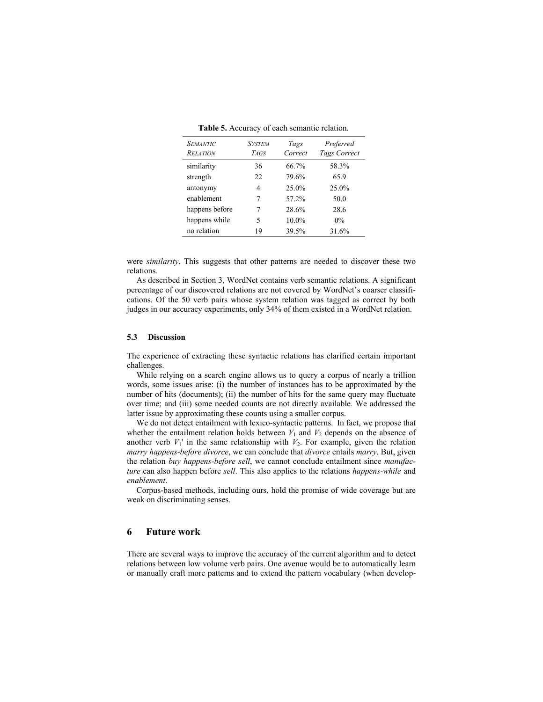| <i>SEMANTIC</i><br><b>RELATION</b> | <b>SYSTEM</b><br>TAGS | Tags<br>Correct | Preferred<br>Tags Correct |
|------------------------------------|-----------------------|-----------------|---------------------------|
| similarity                         | 36                    | 66.7%           | 58.3%                     |
| strength                           | 22                    | 79.6%           | 65.9                      |
| antonymy                           | 4                     | 25.0%           | 25.0%                     |
| enablement                         | 7                     | 57.2%           | 50.0                      |
| happens before                     | 7                     | 28.6%           | 28.6                      |
| happens while                      | 5                     | $10.0\%$        | $0\%$                     |
| no relation                        | 19                    | 39.5%           | 31.6%                     |

**Table 5.** Accuracy of each semantic relation.

were *similarity*. This suggests that other patterns are needed to discover these two relations.

As described in Section 3, WordNet contains verb semantic relations. A significant percentage of our discovered relations are not covered by WordNetís coarser classifications. Of the 50 verb pairs whose system relation was tagged as correct by both judges in our accuracy experiments, only 34% of them existed in a WordNet relation.

#### **5.3 Discussion**

The experience of extracting these syntactic relations has clarified certain important challenges.

While relying on a search engine allows us to query a corpus of nearly a trillion words, some issues arise: (i) the number of instances has to be approximated by the number of hits (documents); (ii) the number of hits for the same query may fluctuate over time; and (iii) some needed counts are not directly available. We addressed the latter issue by approximating these counts using a smaller corpus.

We do not detect entailment with lexico-syntactic patterns. In fact, we propose that whether the entailment relation holds between  $V_1$  and  $V_2$  depends on the absence of another verb  $V_1$ ' in the same relationship with  $V_2$ . For example, given the relation *marry happens-before divorce*, we can conclude that *divorce* entails *marry*. But, given the relation *buy happens-before sell*, we cannot conclude entailment since *manufacture* can also happen before *sell*. This also applies to the relations *happens-while* and *enablement*.

Corpus-based methods, including ours, hold the promise of wide coverage but are weak on discriminating senses.

## **6 Future work**

There are several ways to improve the accuracy of the current algorithm and to detect relations between low volume verb pairs. One avenue would be to automatically learn or manually craft more patterns and to extend the pattern vocabulary (when develop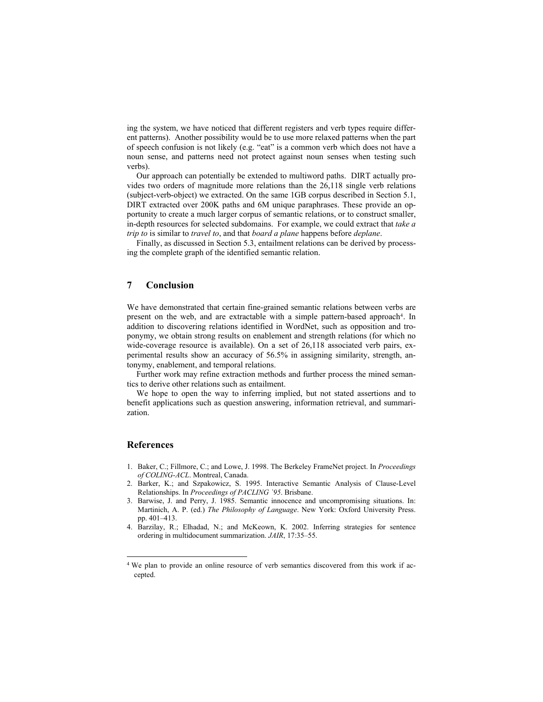ing the system, we have noticed that different registers and verb types require different patterns). Another possibility would be to use more relaxed patterns when the part of speech confusion is not likely (e.g. "eat" is a common verb which does not have a noun sense, and patterns need not protect against noun senses when testing such verbs).

Our approach can potentially be extended to multiword paths. DIRT actually provides two orders of magnitude more relations than the 26,118 single verb relations (subject-verb-object) we extracted. On the same 1GB corpus described in Section 5.1, DIRT extracted over 200K paths and 6M unique paraphrases. These provide an opportunity to create a much larger corpus of semantic relations, or to construct smaller, in-depth resources for selected subdomains. For example, we could extract that *take a trip to* is similar to *travel to*, and that *board a plane* happens before *deplane*.

Finally, as discussed in Section 5.3, entailment relations can be derived by processing the complete graph of the identified semantic relation.

## **7 Conclusion**

We have demonstrated that certain fine-grained semantic relations between verbs are present on the web, and are extractable with a simple pattern-based approach<sup>4</sup>. In addition to discovering relations identified in WordNet, such as opposition and troponymy, we obtain strong results on enablement and strength relations (for which no wide-coverage resource is available). On a set of 26,118 associated verb pairs, experimental results show an accuracy of 56.5% in assigning similarity, strength, antonymy, enablement, and temporal relations.

Further work may refine extraction methods and further process the mined semantics to derive other relations such as entailment.

We hope to open the way to inferring implied, but not stated assertions and to benefit applications such as question answering, information retrieval, and summarization.

## **References**

l

- 1. Baker, C.; Fillmore, C.; and Lowe, J. 1998. The Berkeley FrameNet project. In *Proceedings of COLING-ACL*. Montreal, Canada.
- 2. Barker, K.; and Szpakowicz, S. 1995. Interactive Semantic Analysis of Clause-Level Relationships. In *Proceedings of PACLING `95*. Brisbane.
- 3. Barwise, J. and Perry, J. 1985. Semantic innocence and uncompromising situations. In: Martinich, A. P. (ed.) *The Philosophy of Language*. New York: Oxford University Press. pp. 401-413.
- 4. Barzilay, R.; Elhadad, N.; and McKeown, K. 2002. Inferring strategies for sentence ordering in multidocument summarization. *JAIR*, 17:35-55.

<sup>4</sup> We plan to provide an online resource of verb semantics discovered from this work if accepted.